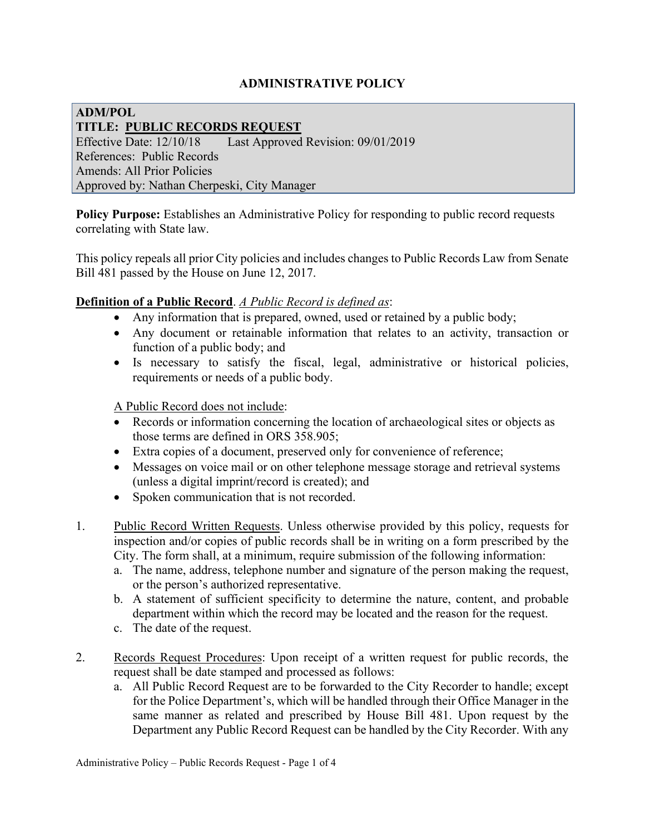## **ADMINISTRATIVE POLICY**

## **ADM/POL TITLE: PUBLIC RECORDS REQUEST** Effective Date: 12/10/18 Last Approved Revision: 09/01/2019 References: Public Records Amends: All Prior Policies Approved by: Nathan Cherpeski, City Manager

**Policy Purpose:** Establishes an Administrative Policy for responding to public record requests correlating with State law.

This policy repeals all prior City policies and includes changes to Public Records Law from Senate Bill 481 passed by the House on June 12, 2017.

## **Definition of a Public Record**. *A Public Record is defined as*:

- Any information that is prepared, owned, used or retained by a public body;
- Any document or retainable information that relates to an activity, transaction or function of a public body; and
- Is necessary to satisfy the fiscal, legal, administrative or historical policies, requirements or needs of a public body.

A Public Record does not include:

- Records or information concerning the location of archaeological sites or objects as those terms are defined in ORS 358.905;
- Extra copies of a document, preserved only for convenience of reference;
- Messages on voice mail or on other telephone message storage and retrieval systems (unless a digital imprint/record is created); and
- Spoken communication that is not recorded.
- 1. Public Record Written Requests. Unless otherwise provided by this policy, requests for inspection and/or copies of public records shall be in writing on a form prescribed by the City. The form shall, at a minimum, require submission of the following information:
	- a. The name, address, telephone number and signature of the person making the request, or the person's authorized representative.
	- b. A statement of sufficient specificity to determine the nature, content, and probable department within which the record may be located and the reason for the request.
	- c. The date of the request.
- 2. Records Request Procedures: Upon receipt of a written request for public records, the request shall be date stamped and processed as follows:
	- a. All Public Record Request are to be forwarded to the City Recorder to handle; except for the Police Department's, which will be handled through their Office Manager in the same manner as related and prescribed by House Bill 481. Upon request by the Department any Public Record Request can be handled by the City Recorder. With any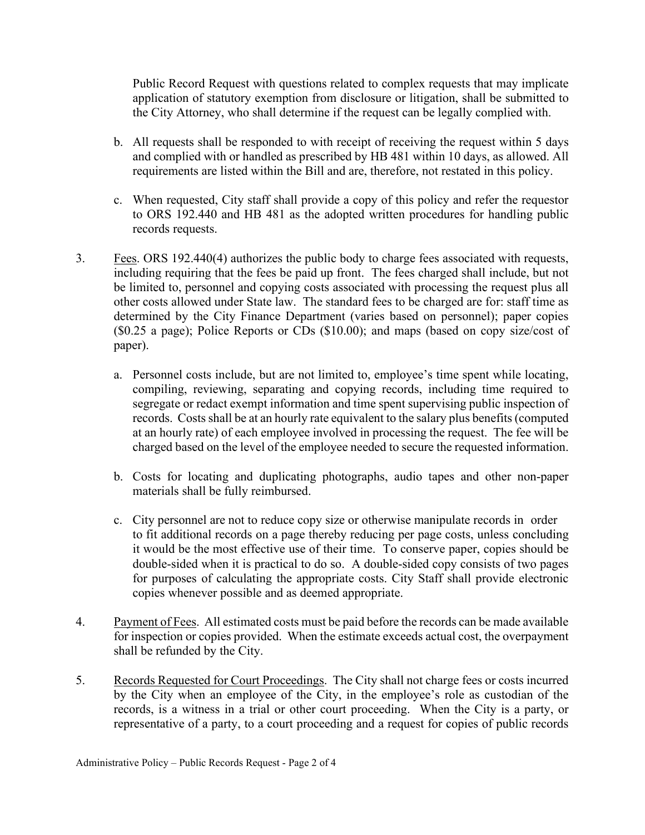Public Record Request with questions related to complex requests that may implicate application of statutory exemption from disclosure or litigation, shall be submitted to the City Attorney, who shall determine if the request can be legally complied with.

- b. All requests shall be responded to with receipt of receiving the request within 5 days and complied with or handled as prescribed by HB 481 within 10 days, as allowed. All requirements are listed within the Bill and are, therefore, not restated in this policy.
- c. When requested, City staff shall provide a copy of this policy and refer the requestor to ORS 192.440 and HB 481 as the adopted written procedures for handling public records requests.
- 3. Fees. ORS 192.440(4) authorizes the public body to charge fees associated with requests, including requiring that the fees be paid up front. The fees charged shall include, but not be limited to, personnel and copying costs associated with processing the request plus all other costs allowed under State law. The standard fees to be charged are for: staff time as determined by the City Finance Department (varies based on personnel); paper copies (\$0.25 a page); Police Reports or CDs (\$10.00); and maps (based on copy size/cost of paper).
	- a. Personnel costs include, but are not limited to, employee's time spent while locating, compiling, reviewing, separating and copying records, including time required to segregate or redact exempt information and time spent supervising public inspection of records. Costs shall be at an hourly rate equivalent to the salary plus benefits (computed at an hourly rate) of each employee involved in processing the request. The fee will be charged based on the level of the employee needed to secure the requested information.
	- b. Costs for locating and duplicating photographs, audio tapes and other non-paper materials shall be fully reimbursed.
	- c. City personnel are not to reduce copy size or otherwise manipulate records in order to fit additional records on a page thereby reducing per page costs, unless concluding it would be the most effective use of their time. To conserve paper, copies should be double-sided when it is practical to do so. A double-sided copy consists of two pages for purposes of calculating the appropriate costs. City Staff shall provide electronic copies whenever possible and as deemed appropriate.
- 4. Payment of Fees. All estimated costs must be paid before the records can be made available for inspection or copies provided. When the estimate exceeds actual cost, the overpayment shall be refunded by the City.
- 5. Records Requested for Court Proceedings. The City shall not charge fees or costs incurred by the City when an employee of the City, in the employee's role as custodian of the records, is a witness in a trial or other court proceeding. When the City is a party, or representative of a party, to a court proceeding and a request for copies of public records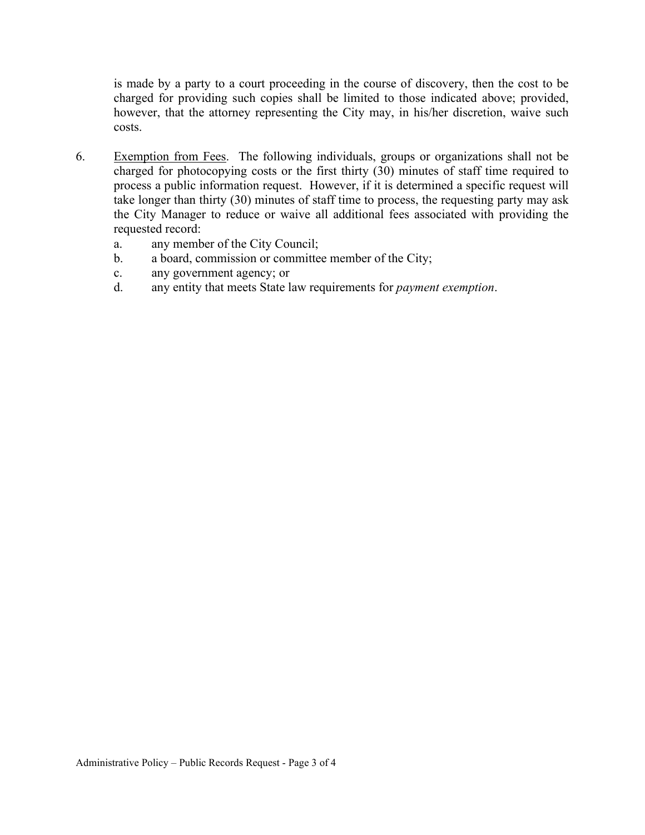is made by a party to a court proceeding in the course of discovery, then the cost to be charged for providing such copies shall be limited to those indicated above; provided, however, that the attorney representing the City may, in his/her discretion, waive such costs.

- 6. Exemption from Fees. The following individuals, groups or organizations shall not be charged for photocopying costs or the first thirty (30) minutes of staff time required to process a public information request. However, if it is determined a specific request will take longer than thirty (30) minutes of staff time to process, the requesting party may ask the City Manager to reduce or waive all additional fees associated with providing the requested record:
	- a. any member of the City Council;
	- b. a board, commission or committee member of the City;
	- c. any government agency; or
	- d. any entity that meets State law requirements for *payment exemption*.